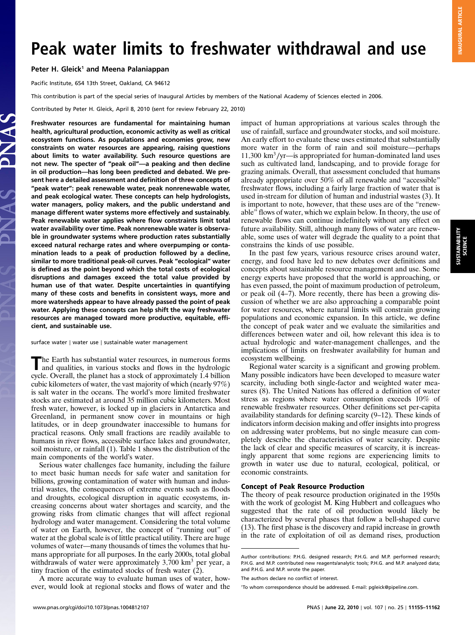SUSTAINABILITY SCIENCE

# Peak water limits to freshwater withdrawal and use

## Peter H. Gleick<sup>1</sup> and Meena Palaniappan

Pacific Institute, 654 13th Street, Oakland, CA 94612

This contribution is part of the special series of Inaugural Articles by members of the National Academy of Sciences elected in 2006.

Contributed by Peter H. Gleick, April 8, 2010 (sent for review February 22, 2010)

Freshwater resources are fundamental for maintaining human health, agricultural production, economic activity as well as critical ecosystem functions. As populations and economies grow, new constraints on water resources are appearing, raising questions about limits to water availability. Such resource questions are not new. The specter of "peak oil"—a peaking and then decline in oil production—has long been predicted and debated. We present here a detailed assessment and definition of three concepts of "peak water": peak renewable water, peak nonrenewable water, and peak ecological water. These concepts can help hydrologists, water managers, policy makers, and the public understand and manage different water systems more effectively and sustainably. Peak renewable water applies where flow constraints limit total water availability over time. Peak nonrenewable water is observable in groundwater systems where production rates substantially exceed natural recharge rates and where overpumping or contamination leads to a peak of production followed by a decline, similar to more traditional peak-oil curves. Peak "ecological" water is defined as the point beyond which the total costs of ecological disruptions and damages exceed the total value provided by human use of that water. Despite uncertainties in quantifying many of these costs and benefits in consistent ways, more and more watersheds appear to have already passed the point of peak water. Applying these concepts can help shift the way freshwater resources are managed toward more productive, equitable, efficient, and sustainable use.

surface water ∣ water use ∣ sustainable water management

The Earth has substantial water resources, in numerous forms<br>and qualities, in various stocks and flows in the hydrologic cycle. Overall, the planet has a stock of approximately 1.4 billion cubic kilometers of water, the vast majority of which (nearly 97%) is salt water in the oceans. The world's more limited freshwater stocks are estimated at around 35 million cubic kilometers. Most fresh water, however, is locked up in glaciers in Antarctica and Greenland, in permanent snow cover in mountains or high latitudes, or in deep groundwater inaccessible to humans for practical reasons. Only small fractions are readily available to humans in river flows, accessible surface lakes and groundwater, soil moisture, or rainfall (1). Table 1 shows the distribution of the main components of the world's water.

Serious water challenges face humanity, including the failure to meet basic human needs for safe water and sanitation for billions, growing contamination of water with human and industrial wastes, the consequences of extreme events such as floods and droughts, ecological disruption in aquatic ecosystems, increasing concerns about water shortages and scarcity, and the growing risks from climatic changes that will affect regional hydrology and water management. Considering the total volume of water on Earth, however, the concept of "running out" of water at the global scale is of little practical utility. There are huge volumes of water—many thousands of times the volumes that humans appropriate for all purposes. In the early 2000s, total global withdrawals of water were approximately  $3,700 \text{ km}^3$  per year, a tiny fraction of the estimated stocks of fresh water (2).

A more accurate way to evaluate human uses of water, however, would look at regional stocks and flows of water and the impact of human appropriations at various scales through the use of rainfall, surface and groundwater stocks, and soil moisture. An early effort to evaluate these uses estimated that substantially more water in the form of rain and soil moisture—perhaps 11;300 km<sup>3</sup>∕yr—is appropriated for human-dominated land uses such as cultivated land, landscaping, and to provide forage for grazing animals. Overall, that assessment concluded that humans already appropriate over 50% of all renewable and "accessible" freshwater flows, including a fairly large fraction of water that is used in-stream for dilution of human and industrial wastes (3). It is important to note, however, that these uses are of the "renewable" flows of water, which we explain below. In theory, the use of renewable flows can continue indefinitely without any effect on future availability. Still, although many flows of water are renewable, some uses of water will degrade the quality to a point that constrains the kinds of use possible.

In the past few years, various resource crises around water, energy, and food have led to new debates over definitions and concepts about sustainable resource management and use. Some energy experts have proposed that the world is approaching, or has even passed, the point of maximum production of petroleum, or peak oil (4–7). More recently, there has been a growing discussion of whether we are also approaching a comparable point for water resources, where natural limits will constrain growing populations and economic expansion. In this article, we define the concept of peak water and we evaluate the similarities and differences between water and oil, how relevant this idea is to actual hydrologic and water-management challenges, and the implications of limits on freshwater availability for human and ecosystem wellbeing.

Regional water scarcity is a significant and growing problem. Many possible indicators have been developed to measure water scarcity, including both single-factor and weighted water measures (8). The United Nations has offered a definition of water stress as regions where water consumption exceeds 10% of renewable freshwater resources. Other definitions set per-capita availability standards for defining scarcity (9–12). These kinds of indicators inform decision making and offer insights into progress on addressing water problems, but no single measure can completely describe the characteristics of water scarcity. Despite the lack of clear and specific measures of scarcity, it is increasingly apparent that some regions are experiencing limits to growth in water use due to natural, ecological, political, or economic constraints.

#### Concept of Peak Resource Production

The theory of peak resource production originated in the 1950s with the work of geologist M. King Hubbert and colleagues who suggested that the rate of oil production would likely be characterized by several phases that follow a bell-shaped curve (13). The first phase is the discovery and rapid increase in growth in the rate of exploitation of oil as demand rises, production

Author contributions: P.H.G. designed research; P.H.G. and M.P. performed research; P.H.G. and M.P. contributed new reagents/analytic tools; P.H.G. and M.P. analyzed data; and P.H.G. and M.P. wrote the paper.

The authors declare no conflict of interest.

<sup>1</sup> To whom correspondence should be addressed. E-mail: pgleick@pipeline.com.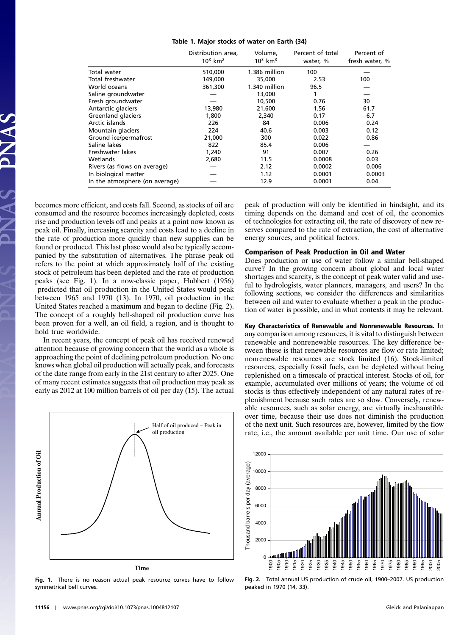#### Table 1. Major stocks of water on Earth (34)

|                                | Distribution area,<br>$10^3$ km <sup>2</sup> | Volume,<br>$10^3$ km <sup>3</sup> | Percent of total<br>water, % | Percent of<br>fresh water, % |
|--------------------------------|----------------------------------------------|-----------------------------------|------------------------------|------------------------------|
| Total water                    | 510,000                                      | 1.386 million                     | 100                          |                              |
| Total freshwater               | 149,000                                      | 35,000                            | 2.53                         | 100                          |
| World oceans                   | 361,300                                      | 1.340 million                     | 96.5                         |                              |
| Saline groundwater             |                                              | 13,000                            |                              |                              |
| Fresh groundwater              |                                              | 10,500                            | 0.76                         | 30                           |
| Antarctic glaciers             | 13,980                                       | 21,600                            | 1.56                         | 61.7                         |
| Greenland glaciers             | 1,800                                        | 2,340                             | 0.17                         | 6.7                          |
| Arctic islands                 | 226                                          | 84                                | 0.006                        | 0.24                         |
| Mountain glaciers              | 224                                          | 40.6                              | 0.003                        | 0.12                         |
| Ground ice/permafrost          | 21,000                                       | 300                               | 0.022                        | 0.86                         |
| Saline lakes                   | 822                                          | 85.4                              | 0.006                        |                              |
| Freshwater lakes               | 1,240                                        | 91                                | 0.007                        | 0.26                         |
| Wetlands                       | 2,680                                        | 11.5                              | 0.0008                       | 0.03                         |
| Rivers (as flows on average)   |                                              | 2.12                              | 0.0002                       | 0.006                        |
| In biological matter           |                                              | 1.12                              | 0.0001                       | 0.0003                       |
| In the atmosphere (on average) |                                              | 12.9                              | 0.0001                       | 0.04                         |

becomes more efficient, and costs fall. Second, as stocks of oil are consumed and the resource becomes increasingly depleted, costs rise and production levels off and peaks at a point now known as peak oil. Finally, increasing scarcity and costs lead to a decline in the rate of production more quickly than new supplies can be found or produced. This last phase would also be typically accompanied by the substitution of alternatives. The phrase peak oil refers to the point at which approximately half of the existing stock of petroleum has been depleted and the rate of production peaks (see Fig. 1). In a now-classic paper, Hubbert (1956) predicted that oil production in the United States would peak between 1965 and 1970 (13). In 1970, oil production in the United States reached a maximum and began to decline (Fig. 2). The concept of a roughly bell-shaped oil production curve has been proven for a well, an oil field, a region, and is thought to hold true worldwide.

In recent years, the concept of peak oil has received renewed attention because of growing concern that the world as a whole is approaching the point of declining petroleum production. No one knows when global oil production will actually peak, and forecasts of the date range from early in the 21st century to after 2025. One of many recent estimates suggests that oil production may peak as early as 2012 at 100 million barrels of oil per day (15). The actual



Fig. 1. There is no reason actual peak resource curves have to follow symmetrical bell curves.

peak of production will only be identified in hindsight, and its timing depends on the demand and cost of oil, the economics of technologies for extracting oil, the rate of discovery of new reserves compared to the rate of extraction, the cost of alternative energy sources, and political factors.

# Comparison of Peak Production in Oil and Water

Does production or use of water follow a similar bell-shaped curve? In the growing concern about global and local water shortages and scarcity, is the concept of peak water valid and useful to hydrologists, water planners, managers, and users? In the following sections, we consider the differences and similarities between oil and water to evaluate whether a peak in the production of water is possible, and in what contexts it may be relevant.

Key Characteristics of Renewable and Nonrenewable Resources. In any comparison among resources, it is vital to distinguish between renewable and nonrenewable resources. The key difference between these is that renewable resources are flow or rate limited; nonrenewable resources are stock limited (16). Stock-limited resources, especially fossil fuels, can be depleted without being replenished on a timescale of practical interest. Stocks of oil, for example, accumulated over millions of years; the volume of oil stocks is thus effectively independent of any natural rates of replenishment because such rates are so slow. Conversely, renewable resources, such as solar energy, are virtually inexhaustible over time, because their use does not diminish the production of the next unit. Such resources are, however, limited by the flow rate, i.e., the amount available per unit time. Our use of solar



Fig. 2. Total annual US production of crude oil, 1900–2007. US production peaked in 1970 (14, 33).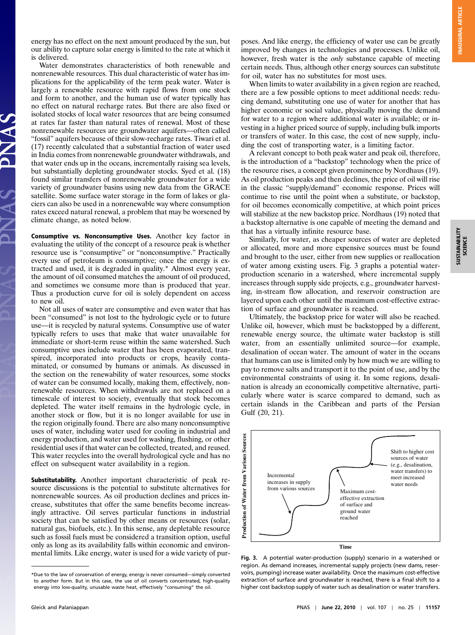energy has no effect on the next amount produced by the sun, but our ability to capture solar energy is limited to the rate at which it is delivered.

Water demonstrates characteristics of both renewable and nonrenewable resources. This dual characteristic of water has implications for the applicability of the term peak water. Water is largely a renewable resource with rapid flows from one stock and form to another, and the human use of water typically has no effect on natural recharge rates. But there are also fixed or isolated stocks of local water resources that are being consumed at rates far faster than natural rates of renewal. Most of these nonrenewable resources are groundwater aquifers—often called "fossil" aquifers because of their slow-recharge rates. Tiwari et al. (17) recently calculated that a substantial fraction of water used in India comes from nonrenewable groundwater withdrawals, and that water ends up in the oceans, incrementally raising sea levels, but substantially depleting groundwater stocks. Syed et al. (18) found similar transfers of nonrenewable groundwater for a wide variety of groundwater basins using new data from the GRACE satellite. Some surface water storage in the form of lakes or glaciers can also be used in a nonrenewable way where consumption rates exceed natural renewal, a problem that may be worsened by climate change, as noted below.

Consumptive vs. Nonconsumptive Uses. Another key factor in evaluating the utility of the concept of a resource peak is whether resource use is "consumptive" or "nonconsumptive." Practically every use of petroleum is consumptive; once the energy is extracted and used, it is degraded in quality.\* Almost every year, the amount of oil consumed matches the amount of oil produced, and sometimes we consume more than is produced that year. Thus a production curve for oil is solely dependent on access to new oil.

Not all uses of water are consumptive and even water that has been "consumed" is not lost to the hydrologic cycle or to future use—it is recycled by natural systems. Consumptive use of water typically refers to uses that make that water unavailable for immediate or short-term reuse within the same watershed. Such consumptive uses include water that has been evaporated, transpired, incorporated into products or crops, heavily contaminated, or consumed by humans or animals. As discussed in the section on the renewability of water resources, some stocks of water can be consumed locally, making them, effectively, nonrenewable resources. When withdrawals are not replaced on a timescale of interest to society, eventually that stock becomes depleted. The water itself remains in the hydrologic cycle, in another stock or flow, but it is no longer available for use in the region originally found. There are also many nonconsumptive uses of water, including water used for cooling in industrial and energy production, and water used for washing, flushing, or other residential uses if that water can be collected, treated, and reused. This water recycles into the overall hydrological cycle and has no effect on subsequent water availability in a region.

Substitutability. Another important characteristic of peak resource discussions is the potential to substitute alternatives for nonrenewable sources. As oil production declines and prices increase, substitutes that offer the same benefits become increasingly attractive. Oil serves particular functions in industrial society that can be satisfied by other means or resources (solar, natural gas, biofuels, etc.). In this sense, any depletable resource such as fossil fuels must be considered a transition option, useful only as long as its availability falls within economic and environmental limits. Like energy, water is used for a wide variety of pur-

poses. And like energy, the efficiency of water use can be greatly improved by changes in technologies and processes. Unlike oil, however, fresh water is the only substance capable of meeting certain needs. Thus, although other energy sources can substitute for oil, water has no substitutes for most uses.

When limits to water availability in a given region are reached, there are a few possible options to meet additional needs: reducing demand, substituting one use of water for another that has higher economic or social value, physically moving the demand for water to a region where additional water is available; or investing in a higher priced source of supply, including bulk imports or transfers of water. In this case, the cost of new supply, including the cost of transporting water, is a limiting factor.

A relevant concept to both peak water and peak oil, therefore, is the introduction of a "backstop" technology when the price of the resource rises, a concept given prominence by Nordhaus (19). As oil production peaks and then declines, the price of oil will rise in the classic "supply/demand" economic response. Prices will continue to rise until the point when a substitute, or backstop, for oil becomes economically competitive, at which point prices will stabilize at the new backstop price. Nordhaus (19) noted that a backstop alternative is one capable of meeting the demand and that has a virtually infinite resource base.

Similarly, for water, as cheaper sources of water are depleted or allocated, more and more expensive sources must be found and brought to the user, either from new supplies or reallocation of water among existing users. Fig. 3 graphs a potential waterproduction scenario in a watershed, where incremental supply increases through supply side projects, e.g., groundwater harvesting, in-stream flow allocation, and reservoir construction are layered upon each other until the maximum cost-effective extraction of surface and groundwater is reached.

Ultimately, the backstop price for water will also be reached. Unlike oil, however, which must be backstopped by a different, renewable energy source, the ultimate water backstop is still water, from an essentially unlimited source—for example, desalination of ocean water. The amount of water in the oceans that humans can use is limited only by how much we are willing to pay to remove salts and transport it to the point of use, and by the environmental constraints of using it. In some regions, desalination is already an economically competitive alternative, particularly where water is scarce compared to demand, such as certain islands in the Caribbean and parts of the Persian Gulf (20, 21).



Fig. 3. A potential water-production (supply) scenario in a watershed or region. As demand increases, incremental supply projects (new dams, reservoirs, pumping) increase water availability. Once the maximum cost-effective extraction of surface and groundwater is reached, there is a final shift to a higher cost backstop supply of water such as desalination or water transfers.

<sup>\*</sup>Due to the law of conservation of energy, energy is never consumed—simply converted to another form. But in this case, the use of oil converts concentrated, high-quality energy into low-quality, unusable waste heat, effectively "consuming" the oil.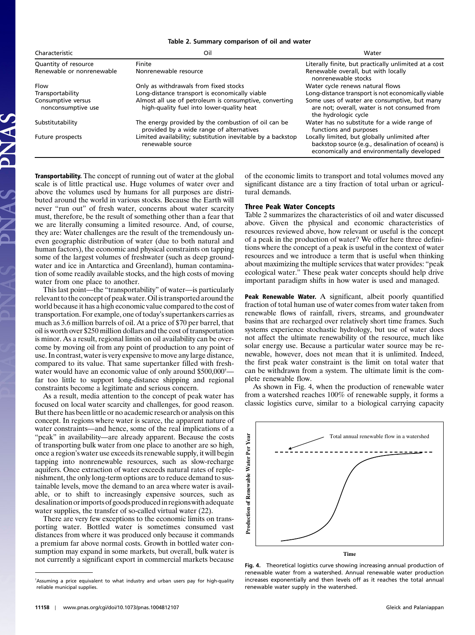Table 2. Summary comparison of oil and water

| Characteristic                           | Oil                                                                                                 | Water                                                                                                                                            |
|------------------------------------------|-----------------------------------------------------------------------------------------------------|--------------------------------------------------------------------------------------------------------------------------------------------------|
| Quantity of resource                     | Finite                                                                                              | Literally finite, but practically unlimited at a cost                                                                                            |
| Renewable or nonrenewable                | Nonrenewable resource                                                                               | Renewable overall, but with locally<br>nonrenewable stocks                                                                                       |
| Flow                                     | Only as withdrawals from fixed stocks                                                               | Water cycle renews natural flows                                                                                                                 |
| Transportability                         | Long-distance transport is economically viable                                                      | Long-distance transport is not economically viable                                                                                               |
| Consumptive versus<br>nonconsumptive use | Almost all use of petroleum is consumptive, converting<br>high-quality fuel into lower-quality heat | Some uses of water are consumptive, but many<br>are not; overall, water is not consumed from<br>the hydrologic cycle                             |
| Substitutability                         | The energy provided by the combustion of oil can be<br>provided by a wide range of alternatives     | Water has no substitute for a wide range of<br>functions and purposes                                                                            |
| Future prospects                         | Limited availability; substitution inevitable by a backstop<br>renewable source                     | Locally limited, but globally unlimited after<br>backstop source (e.g., desalination of oceans) is<br>economically and environmentally developed |

Transportability. The concept of running out of water at the global scale is of little practical use. Huge volumes of water over and above the volumes used by humans for all purposes are distributed around the world in various stocks. Because the Earth will never "run out" of fresh water, concerns about water scarcity must, therefore, be the result of something other than a fear that we are literally consuming a limited resource. And, of course, they are: Water challenges are the result of the tremendously uneven geographic distribution of water (due to both natural and human factors), the economic and physical constraints on tapping some of the largest volumes of freshwater (such as deep groundwater and ice in Antarctica and Greenland), human contamination of some readily available stocks, and the high costs of moving water from one place to another.

This last point—the "transportability" of water—is particularly relevant to the concept of peak water. Oil is transported around the world because it has a high economic value compared to the cost of transportation. For example, one of today's supertankers carries as much as 3.6 million barrels of oil. At a price of \$70 per barrel, that oil is worth over \$250 million dollars and the cost of transportation is minor. As a result, regional limits on oil availability can be overcome by moving oil from any point of production to any point of use. In contrast, water is very expensive to move any large distance, compared to its value. That same supertanker filled with freshwater would have an economic value of only around \$500,000<sup>†</sup> far too little to support long-distance shipping and regional constraints become a legitimate and serious concern.

As a result, media attention to the concept of peak water has focused on local water scarcity and challenges, for good reason. But there has been little or no academic research or analysis on this concept. In regions where water is scarce, the apparent nature of water constraints—and hence, some of the real implications of a "peak" in availability—are already apparent. Because the costs of transporting bulk water from one place to another are so high, once a region's water use exceeds its renewable supply, it will begin tapping into nonrenewable resources, such as slow-recharge aquifers. Once extraction of water exceeds natural rates of replenishment, the only long-term options are to reduce demand to sustainable levels, move the demand to an area where water is available, or to shift to increasingly expensive sources, such as desalination orimports of goods producedin regionswith adequate water supplies, the transfer of so-called virtual water (22).

There are very few exceptions to the economic limits on transporting water. Bottled water is sometimes consumed vast distances from where it was produced only because it commands a premium far above normal costs. Growth in bottled water consumption may expand in some markets, but overall, bulk water is not currently a significant export in commercial markets because

of the economic limits to transport and total volumes moved any significant distance are a tiny fraction of total urban or agricultural demands.

# Three Peak Water Concepts

Table 2 summarizes the characteristics of oil and water discussed above. Given the physical and economic characteristics of resources reviewed above, how relevant or useful is the concept of a peak in the production of water? We offer here three definitions where the concept of a peak is useful in the context of water resources and we introduce a term that is useful when thinking about maximizing the multiple services that water provides: "peak ecological water." These peak water concepts should help drive important paradigm shifts in how water is used and managed.

Peak Renewable Water. A significant, albeit poorly quantified fraction of total human use of water comes from water taken from renewable flows of rainfall, rivers, streams, and groundwater basins that are recharged over relatively short time frames. Such systems experience stochastic hydrology, but use of water does not affect the ultimate renewability of the resource, much like solar energy use. Because a particular water source may be renewable, however, does not mean that it is unlimited. Indeed, the first peak water constraint is the limit on total water that can be withdrawn from a system. The ultimate limit is the complete renewable flow.

As shown in Fig. 4, when the production of renewable water from a watershed reaches 100% of renewable supply, it forms a classic logistics curve, similar to a biological carrying capacity



Fig. 4. Theoretical logistics curve showing increasing annual production of renewable water from a watershed. Annual renewable water production increases exponentially and then levels off as it reaches the total annual renewable water supply in the watershed.

<sup>†</sup> Assuming a price equivalent to what industry and urban users pay for high-quality reliable municipal supplies.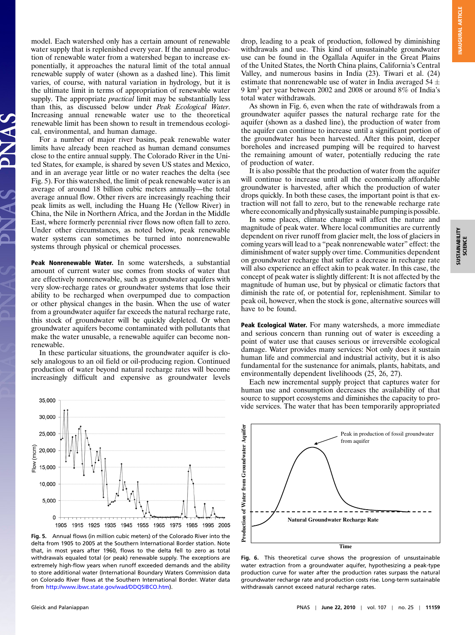SUSTAINABILITY **SUSTAINABILITY**<br>SCIENCE

model. Each watershed only has a certain amount of renewable water supply that is replenished every year. If the annual production of renewable water from a watershed began to increase exponentially, it approaches the natural limit of the total annual renewable supply of water (shown as a dashed line). This limit varies, of course, with natural variation in hydrology, but it is the ultimate limit in terms of appropriation of renewable water supply. The appropriate *practical* limit may be substantially less than this, as discussed below under *Peak Ecological Water*. than this, as discussed below under *Peak Ecological Water*.<br>Increasing annual renewable water use to the theoretical renewable limit has been shown to result in tremendous ecological, environmental, and human damage.

For a number of major river basins, peak renewable water limits have already been reached as human demand consumes close to the entire annual supply. The Colorado River in the United States, for example, is shared by seven US states and Mexico, and in an average year little or no water reaches the delta (see Fig. 5). For this watershed, the limit of peak renewable water is an average of around 18 billion cubic meters annually—the total average annual flow. Other rivers are increasingly reaching their peak limits as well, including the Huang He (Yellow River) in China, the Nile in Northern Africa, and the Jordan in the Middle East, where formerly perennial river flows now often fall to zero. Under other circumstances, as noted below, peak renewable water systems can sometimes be turned into nonrenewable systems through physical or chemical processes.

Peak Nonrenewable Water. In some watersheds, a substantial amount of current water use comes from stocks of water that are effectively nonrenewable, such as groundwater aquifers with very slow-recharge rates or groundwater systems that lose their ability to be recharged when overpumped due to compaction or other physical changes in the basin. When the use of water from a groundwater aquifer far exceeds the natural recharge rate, this stock of groundwater will be quickly depleted. Or when groundwater aquifers become contaminated with pollutants that make the water unusable, a renewable aquifer can become nonrenewable.

In these particular situations, the groundwater aquifer is closely analogous to an oil field or oil-producing region. Continued production of water beyond natural recharge rates will become increasingly difficult and expensive as groundwater levels



Fig. 5. Annual flows (in million cubic meters) of the Colorado River into the delta from 1905 to 2005 at the Southern International Border station. Note that, in most years after 1960, flows to the delta fell to zero as total withdrawals equaled total (or peak) renewable supply. The exceptions are extremely high-flow years when runoff exceeded demands and the ability to store additional water (International Boundary Waters Commission data on Colorado River flows at the Southern International Border. Water data from [http://www.ibwc.state.gov/wad/DDQSIBCO.htm\)](http://www.ibwc.state.gov/wad/DDQSIBCO.htm).

drop, leading to a peak of production, followed by diminishing withdrawals and use. This kind of unsustainable groundwater use can be found in the Ogallala Aquifer in the Great Plains of the United States, the North China plains, California's Central Valley, and numerous basins in India (23). Tiwari et al. (24) estimate that nonrenewable use of water in India averaged  $54 \pm$ 9 km<sup>3</sup> per year between 2002 and 2008 or around 8% of India's total water withdrawals.

As shown in Fig. 6, even when the rate of withdrawals from a groundwater aquifer passes the natural recharge rate for the aquifer (shown as a dashed line), the production of water from the aquifer can continue to increase until a significant portion of the groundwater has been harvested. After this point, deeper boreholes and increased pumping will be required to harvest the remaining amount of water, potentially reducing the rate of production of water.

It is also possible that the production of water from the aquifer will continue to increase until all the economically affordable groundwater is harvested, after which the production of water drops quickly. In both these cases, the important point is that extraction will not fall to zero, but to the renewable recharge rate where economically and physically sustainable pumpingis possible.

In some places, climate change will affect the nature and magnitude of peak water. Where local communities are currently dependent on river runoff from glacier melt, the loss of glaciers in coming years will lead to a "peak nonrenewable water" effect: the diminishment of water supply over time. Communities dependent on groundwater recharge that suffer a decrease in recharge rate will also experience an effect akin to peak water. In this case, the concept of peak water is slightly different: It is not affected by the magnitude of human use, but by physical or climatic factors that diminish the rate of, or potential for, replenishment. Similar to peak oil, however, when the stock is gone, alternative sources will have to be found.

Peak Ecological Water. For many watersheds, a more immediate and serious concern than running out of water is exceeding a point of water use that causes serious or irreversible ecological damage. Water provides many services: Not only does it sustain human life and commercial and industrial activity, but it is also fundamental for the sustenance for animals, plants, habitats, and environmentally dependent livelihoods (25, 26, 27).

Each new incremental supply project that captures water for human use and consumption decreases the availability of that source to support ecosystems and diminishes the capacity to provide services. The water that has been temporarily appropriated



Fig. 6. This theoretical curve shows the progression of unsustainable water extraction from a groundwater aquifer, hypothesizing a peak-type production curve for water after the production rates surpass the natural groundwater recharge rate and production costs rise. Long-term sustainable withdrawals cannot exceed natural recharge rates.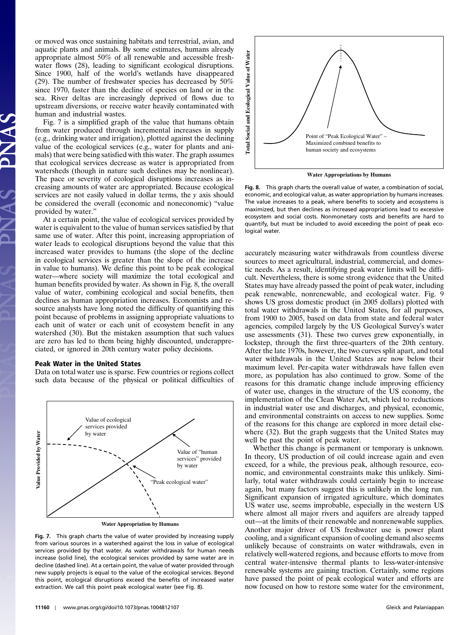or moved was once sustaining habitats and terrestrial, avian, and aquatic plants and animals. By some estimates, humans already appropriate almost 50% of all renewable and accessible freshwater flows (28), leading to significant ecological disruptions. Since 1900, half of the world's wetlands have disappeared (29). The number of freshwater species has decreased by 50% since 1970, faster than the decline of species on land or in the sea. River deltas are increasingly deprived of flows due to upstream diversions, or receive water heavily contaminated with human and industrial wastes.

Fig. 7 is a simplified graph of the value that humans obtain from water produced through incremental increases in supply (e.g., drinking water and irrigation), plotted against the declining value of the ecological services (e.g., water for plants and animals) that were being satisfied with this water. The graph assumes that ecological services decrease as water is appropriated from watersheds (though in nature such declines may be nonlinear). The pace or severity of ecological disruptions increases as increasing amounts of water are appropriated. Because ecological services are not easily valued in dollar terms, the y axis should be considered the overall (economic and noneconomic) "value provided by water."

At a certain point, the value of ecological services provided by water is equivalent to the value of human services satisfied by that same use of water. After this point, increasing appropriation of water leads to ecological disruptions beyond the value that this increased water provides to humans (the slope of the decline in ecological services is greater than the slope of the increase in value to humans). We define this point to be peak ecological water—where society will maximize the total ecological and human benefits provided by water. As shown in Fig. 8, the overall value of water, combining ecological and social benefits, then declines as human appropriation increases. Economists and resource analysts have long noted the difficulty of quantifying this point because of problems in assigning appropriate valuations to each unit of water or each unit of ecosystem benefit in any watershed (30). But the mistaken assumption that such values are zero has led to them being highly discounted, underappreciated, or ignored in 20th century water policy decisions.

### Peak Water in the United States

Data on total water use is sparse. Few countries or regions collect such data because of the physical or political difficulties of



**Water Appropriation by Humans**

Fig. 7. This graph charts the value of water provided by increasing supply from various sources in a watershed against the loss in value of ecological services provided by that water. As water withdrawals for human needs increase (solid line), the ecological services provided by same water are in decline (dashed line). At a certain point, the value of water provided through new supply projects is equal to the value of the ecological services. Beyond this point, ecological disruptions exceed the benefits of increased water extraction. We call this point peak ecological water (see Fig. 8).



**Water Appropriations by Humans**

Fig. 8. This graph charts the overall value of water, a combination of social, economic, and ecological value, as water appropriation by humans increases. The value increases to a peak, where benefits to society and ecosystems is maximized, but then declines as increased appropriations lead to excessive ecosystem and social costs. Nonmonetary costs and benefits are hard to quantify, but must be included to avoid exceeding the point of peak ecological water.

accurately measuring water withdrawals from countless diverse sources to meet agricultural, industrial, commercial, and domestic needs. As a result, identifying peak water limits will be difficult. Nevertheless, there is some strong evidence that the United States may have already passed the point of peak water, including peak renewable, nonrenewable, and ecological water. Fig. 9 shows US gross domestic product (in 2005 dollars) plotted with total water withdrawals in the United States, for all purposes, from 1900 to 2005, based on data from state and federal water agencies, compiled largely by the US Geological Survey's water use assessments (31). These two curves grew exponentially, in lockstep, through the first three-quarters of the 20th century. After the late 1970s, however, the two curves split apart, and total water withdrawals in the United States are now below their maximum level. Per-capita water withdrawals have fallen even more, as population has also continued to grow. Some of the reasons for this dramatic change include improving efficiency of water use, changes in the structure of the US economy, the implementation of the Clean Water Act, which led to reductions in industrial water use and discharges, and physical, economic, and environmental constraints on access to new supplies. Some of the reasons for this change are explored in more detail elsewhere (32). But the graph suggests that the United States may well be past the point of peak water.

Whether this change is permanent or temporary is unknown. In theory, US production of oil could increase again and even exceed, for a while, the previous peak, although resource, economic, and environmental constraints make this unlikely. Similarly, total water withdrawals could certainly begin to increase again, but many factors suggest this is unlikely in the long run. Significant expansion of irrigated agriculture, which dominates US water use, seems improbable, especially in the western US where almost all major rivers and aquifers are already tapped out—at the limits of their renewable and nonrenewable supplies. Another major driver of US freshwater use is power plant cooling, and a significant expansion of cooling demand also seems unlikely because of constraints on water withdrawals, even in relatively well-watered regions, and because efforts to move from central water-intensive thermal plants to less-water-intensive renewable systems are gaining traction. Certainly, some regions have passed the point of peak ecological water and efforts are now focused on how to restore some water for the environment,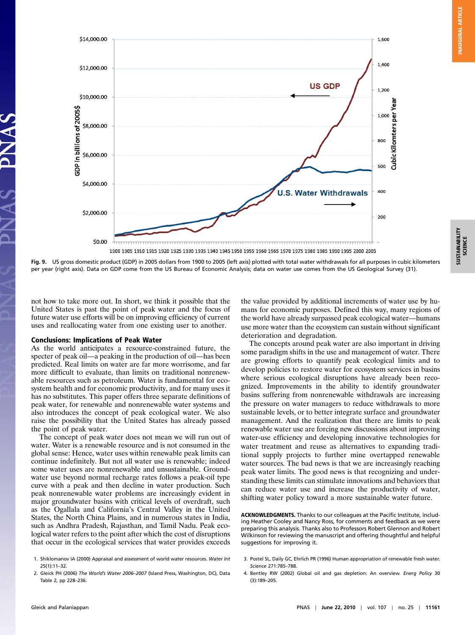

Fig. 9. US gross domestic product (GDP) in 2005 dollars from 1900 to 2005 (left axis) plotted with total water withdrawals for all purposes in cubic kilometers per year (right axis). Data on GDP come from the US Bureau of Economic Analysis; data on water use comes from the US Geological Survey (31).

not how to take more out. In short, we think it possible that the United States is past the point of peak water and the focus of future water use efforts will be on improving efficiency of current uses and reallocating water from one existing user to another.

### Conclusions: Implications of Peak Water

As the world anticipates a resource-constrained future, the specter of peak oil—a peaking in the production of oil—has been predicted. Real limits on water are far more worrisome, and far more difficult to evaluate, than limits on traditional nonrenewable resources such as petroleum. Water is fundamental for ecosystem health and for economic productivity, and for many uses it has no substitutes. This paper offers three separate definitions of peak water, for renewable and nonrenewable water systems and also introduces the concept of peak ecological water. We also raise the possibility that the United States has already passed the point of peak water.

The concept of peak water does not mean we will run out of water. Water is a renewable resource and is not consumed in the global sense: Hence, water uses within renewable peak limits can continue indefinitely. But not all water use is renewable; indeed some water uses are nonrenewable and unsustainable. Groundwater use beyond normal recharge rates follows a peak-oil type curve with a peak and then decline in water production. Such peak nonrenewable water problems are increasingly evident in major groundwater basins with critical levels of overdraft, such as the Ogallala and California's Central Valley in the United States, the North China Plains, and in numerous states in India, such as Andhra Pradesh, Rajasthan, and Tamil Nadu. Peak ecological water refers to the point after which the cost of disruptions that occur in the ecological services that water provides exceeds the value provided by additional increments of water use by humans for economic purposes. Defined this way, many regions of the world have already surpassed peak ecological water—humans use more water than the ecosystem can sustain without significant deterioration and degradation.

The concepts around peak water are also important in driving some paradigm shifts in the use and management of water. There are growing efforts to quantify peak ecological limits and to develop policies to restore water for ecosystem services in basins where serious ecological disruptions have already been recognized. Improvements in the ability to identify groundwater basins suffering from nonrenewable withdrawals are increasing the pressure on water managers to reduce withdrawals to more sustainable levels, or to better integrate surface and groundwater management. And the realization that there are limits to peak renewable water use are forcing new discussions about improving water-use efficiency and developing innovative technologies for water treatment and reuse as alternatives to expanding traditional supply projects to further mine overtapped renewable water sources. The bad news is that we are increasingly reaching peak water limits. The good news is that recognizing and understanding these limits can stimulate innovations and behaviors that can reduce water use and increase the productivity of water, shifting water policy toward a more sustainable water future.

ACKNOWLEDGMENTS. Thanks to our colleagues at the Pacific Institute, including Heather Cooley and Nancy Ross, for comments and feedback as we were preparing this analysis. Thanks also to Professors Robert Glennon and Robert Wilkinson for reviewing the manuscript and offering thoughtful and helpful suggestions for improving it.

4. Bentley RW (2002) Global oil and gas depletion: An overview. Energ Policy 30 (3):189–205.

<sup>1.</sup> Shiklomanov IA (2000) Appraisal and assessment of world water resources. Water Int 25(1):11–32.

<sup>2.</sup> Gleick PH (2006) The World's Water 2006–<sup>2007</sup> (Island Press, Washington, DC), Data Table 2, pp 228–236.

<sup>3.</sup> Postel SL, Daily GC, Ehrlich PR (1996) Human appropriation of renewable fresh water. Science 271:785–788.